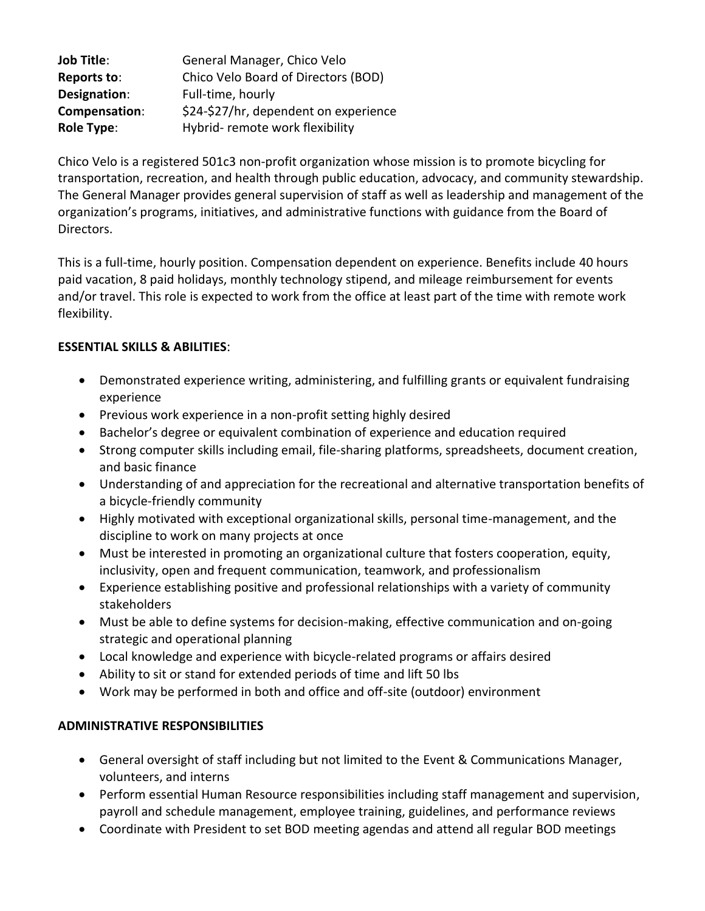| <b>Job Title:</b> | General Manager, Chico Velo           |
|-------------------|---------------------------------------|
| Reports to:       | Chico Velo Board of Directors (BOD)   |
| Designation:      | Full-time, hourly                     |
| Compensation:     | \$24-\$27/hr, dependent on experience |
| <b>Role Type:</b> | Hybrid-remote work flexibility        |

Chico Velo is a registered 501c3 non-profit organization whose mission is to promote bicycling for transportation, recreation, and health through public education, advocacy, and community stewardship. The General Manager provides general supervision of staff as well as leadership and management of the organization's programs, initiatives, and administrative functions with guidance from the Board of Directors.

This is a full-time, hourly position. Compensation dependent on experience. Benefits include 40 hours paid vacation, 8 paid holidays, monthly technology stipend, and mileage reimbursement for events and/or travel. This role is expected to work from the office at least part of the time with remote work flexibility.

#### **ESSENTIAL SKILLS & ABILITIES**:

- Demonstrated experience writing, administering, and fulfilling grants or equivalent fundraising experience
- Previous work experience in a non-profit setting highly desired
- Bachelor's degree or equivalent combination of experience and education required
- Strong computer skills including email, file-sharing platforms, spreadsheets, document creation, and basic finance
- Understanding of and appreciation for the recreational and alternative transportation benefits of a bicycle-friendly community
- Highly motivated with exceptional organizational skills, personal time-management, and the discipline to work on many projects at once
- Must be interested in promoting an organizational culture that fosters cooperation, equity, inclusivity, open and frequent communication, teamwork, and professionalism
- Experience establishing positive and professional relationships with a variety of community stakeholders
- Must be able to define systems for decision-making, effective communication and on-going strategic and operational planning
- Local knowledge and experience with bicycle-related programs or affairs desired
- Ability to sit or stand for extended periods of time and lift 50 lbs
- Work may be performed in both and office and off-site (outdoor) environment

# **ADMINISTRATIVE RESPONSIBILITIES**

- General oversight of staff including but not limited to the Event & Communications Manager, volunteers, and interns
- Perform essential Human Resource responsibilities including staff management and supervision, payroll and schedule management, employee training, guidelines, and performance reviews
- Coordinate with President to set BOD meeting agendas and attend all regular BOD meetings